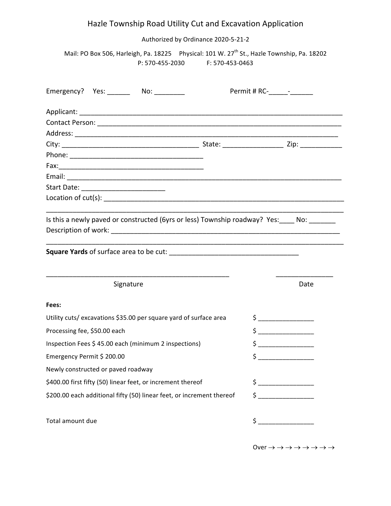## Hazle Township Road Utility Cut and Excavation Application

Authorized by Ordinance 2020-5-21-2

Mail: PO Box 506, Harleigh, Pa. 18225 Physical: 101 W. 27<sup>th</sup> St., Hazle Township, Pa. 18202 P: 570-455-2030 F: 570-453-0463

| Emergency? Yes: _______ No: ________                                                        |                                                                                                                                                                                                                                                                                                                                                                                                                                                                                                                                                                                                                                                                                                                                                        |
|---------------------------------------------------------------------------------------------|--------------------------------------------------------------------------------------------------------------------------------------------------------------------------------------------------------------------------------------------------------------------------------------------------------------------------------------------------------------------------------------------------------------------------------------------------------------------------------------------------------------------------------------------------------------------------------------------------------------------------------------------------------------------------------------------------------------------------------------------------------|
|                                                                                             |                                                                                                                                                                                                                                                                                                                                                                                                                                                                                                                                                                                                                                                                                                                                                        |
|                                                                                             |                                                                                                                                                                                                                                                                                                                                                                                                                                                                                                                                                                                                                                                                                                                                                        |
|                                                                                             |                                                                                                                                                                                                                                                                                                                                                                                                                                                                                                                                                                                                                                                                                                                                                        |
|                                                                                             |                                                                                                                                                                                                                                                                                                                                                                                                                                                                                                                                                                                                                                                                                                                                                        |
|                                                                                             |                                                                                                                                                                                                                                                                                                                                                                                                                                                                                                                                                                                                                                                                                                                                                        |
|                                                                                             |                                                                                                                                                                                                                                                                                                                                                                                                                                                                                                                                                                                                                                                                                                                                                        |
|                                                                                             |                                                                                                                                                                                                                                                                                                                                                                                                                                                                                                                                                                                                                                                                                                                                                        |
|                                                                                             |                                                                                                                                                                                                                                                                                                                                                                                                                                                                                                                                                                                                                                                                                                                                                        |
|                                                                                             |                                                                                                                                                                                                                                                                                                                                                                                                                                                                                                                                                                                                                                                                                                                                                        |
| Is this a newly paved or constructed (6yrs or less) Township roadway? Yes: ____ No: _______ |                                                                                                                                                                                                                                                                                                                                                                                                                                                                                                                                                                                                                                                                                                                                                        |
| Square Yards of surface area to be cut:<br>Signature                                        | Date                                                                                                                                                                                                                                                                                                                                                                                                                                                                                                                                                                                                                                                                                                                                                   |
| Fees:                                                                                       |                                                                                                                                                                                                                                                                                                                                                                                                                                                                                                                                                                                                                                                                                                                                                        |
| Utility cuts/excavations \$35.00 per square yard of surface area                            | $\begin{array}{c} \n \uparrow \quad \quad \quad \downarrow \quad \quad \quad \quad \downarrow \quad \quad \quad \downarrow \quad \quad \quad \downarrow \quad \quad \downarrow \quad \quad \downarrow \quad \quad \downarrow \quad \quad \downarrow \quad \quad \downarrow \quad \quad \downarrow \quad \downarrow \quad \downarrow \quad \downarrow \quad \downarrow \quad \downarrow \quad \downarrow \quad \downarrow \quad \downarrow \quad \downarrow \quad \downarrow \quad \downarrow \quad \downarrow \quad \downarrow \quad \downarrow \quad \downarrow \quad \downarrow \quad \downarrow \quad \downarrow \quad \downarrow \quad \downarrow \quad \downarrow \quad \downarrow \quad \downarrow \quad \downarrow \quad \downarrow \quad \$    |
| Processing fee, \$50.00 each                                                                | $\begin{array}{c} \n \uparrow \quad \quad \quad \downarrow \quad \quad \quad \downarrow \quad \quad \quad \downarrow \quad \quad \quad \downarrow \quad \quad \downarrow \quad \quad \downarrow \quad \quad \downarrow \quad \quad \downarrow \quad \quad \downarrow \quad \downarrow \quad \downarrow \quad \downarrow \quad \downarrow \quad \downarrow \quad \downarrow \quad \downarrow \quad \downarrow \quad \downarrow \quad \downarrow \quad \downarrow \quad \downarrow \quad \downarrow \quad \downarrow \quad \downarrow \quad \downarrow \quad \downarrow \quad \downarrow \quad \downarrow \quad \downarrow \quad \downarrow \quad \downarrow \quad \downarrow \quad \downarrow \quad \downarrow \quad \downarrow \quad \downarrow \quad$ |
| Inspection Fees \$45.00 each (minimum 2 inspections)                                        | $\begin{array}{c} \n \uparrow \quad \quad \quad \downarrow \quad \quad \quad \downarrow \quad \quad \quad \downarrow \quad \quad \quad \downarrow \quad \quad \downarrow \quad \quad \downarrow \quad \quad \downarrow \quad \quad \downarrow \quad \quad \downarrow \quad \quad \downarrow \quad \downarrow \quad \downarrow \quad \downarrow \quad \downarrow \quad \downarrow \quad \downarrow \quad \downarrow \quad \downarrow \quad \downarrow \quad \downarrow \quad \downarrow \quad \downarrow \quad \downarrow \quad \downarrow \quad \downarrow \quad \downarrow \quad \downarrow \quad \downarrow \quad \downarrow \quad \downarrow \quad \downarrow \quad \downarrow \quad \downarrow \quad \downarrow \quad \downarrow \quad \downarrow$ |
| Emergency Permit \$ 200.00                                                                  | $\mathsf{\dot{S}}$ ________                                                                                                                                                                                                                                                                                                                                                                                                                                                                                                                                                                                                                                                                                                                            |
| Newly constructed or paved roadway                                                          |                                                                                                                                                                                                                                                                                                                                                                                                                                                                                                                                                                                                                                                                                                                                                        |
| \$400.00 first fifty (50) linear feet, or increment thereof                                 | $\begin{array}{c} \n \uparrow \quad \quad \quad \downarrow \quad \quad \quad \quad \downarrow \quad \quad \quad \downarrow \quad \quad \quad \downarrow \quad \quad \downarrow \quad \quad \downarrow \quad \quad \downarrow \quad \quad \downarrow \quad \quad \downarrow \quad \quad \downarrow \quad \downarrow \quad \downarrow \quad \quad \downarrow \quad \downarrow \quad \downarrow \quad \downarrow \quad \downarrow \quad \downarrow \quad \downarrow \quad \downarrow \quad \downarrow \quad \downarrow \quad \downarrow \quad \downarrow \quad \downarrow \quad \downarrow \quad \downarrow \quad \downarrow \quad \downarrow \quad \downarrow \quad \downarrow \quad \downarrow \quad \downarrow \quad \downarrow \quad \downarrow \$    |
| \$200.00 each additional fifty (50) linear feet, or increment thereof                       | $\begin{picture}(20,10) \put(0,0){\line(1,0){10}} \put(15,0){\line(1,0){10}} \put(15,0){\line(1,0){10}} \put(15,0){\line(1,0){10}} \put(15,0){\line(1,0){10}} \put(15,0){\line(1,0){10}} \put(15,0){\line(1,0){10}} \put(15,0){\line(1,0){10}} \put(15,0){\line(1,0){10}} \put(15,0){\line(1,0){10}} \put(15,0){\line(1,0){10}} \put(15,0){\line(1$                                                                                                                                                                                                                                                                                                                                                                                                    |
| Total amount due                                                                            | $\frac{1}{2}$                                                                                                                                                                                                                                                                                                                                                                                                                                                                                                                                                                                                                                                                                                                                          |

Over  $\rightarrow \rightarrow \rightarrow \rightarrow \rightarrow \rightarrow \rightarrow \rightarrow$